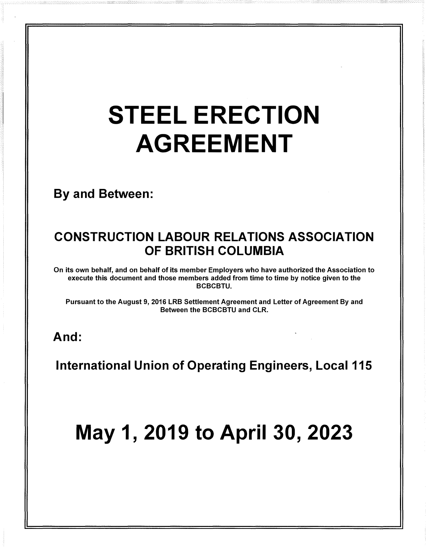# STEEL ERECTION AGREEMENT

By and Between:

## CONSTRUCTION LABOUR RELATIONS ASSOCIATION OF BRITISH COLUMBIA

On its own behalf, and on behalf of its member Employers who have authorized the Association to execute this document and those members added from time to time by notice given to the **BCBCBTU.** 

Pursuant to the August 9, 2016 LRB Settlement Agreement and Letter of Agreement By and Between the BCBCBTU and CLR.

## And:

International Union of Operating Engineers, Local 115

# May 1, 2019 to April 30, 2023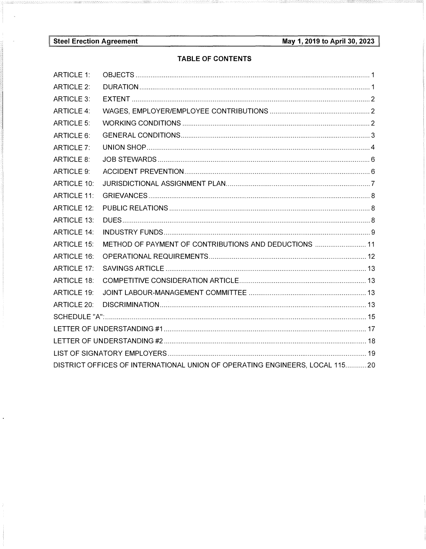$\mathbf{r}$ 

## **TABLE OF CONTENTS**

| <b>ARTICLE 1:</b>                                                           |                                                       |  |  |  |  |
|-----------------------------------------------------------------------------|-------------------------------------------------------|--|--|--|--|
| <b>ARTICLE 2:</b>                                                           |                                                       |  |  |  |  |
| <b>ARTICLE 3:</b>                                                           |                                                       |  |  |  |  |
| <b>ARTICLE 4:</b>                                                           |                                                       |  |  |  |  |
| <b>ARTICLE 5:</b>                                                           |                                                       |  |  |  |  |
| ARTICLE 6:                                                                  |                                                       |  |  |  |  |
| ARTICLE 7:                                                                  |                                                       |  |  |  |  |
| <b>ARTICLE 8:</b>                                                           |                                                       |  |  |  |  |
| <b>ARTICLE 9:</b>                                                           |                                                       |  |  |  |  |
| <b>ARTICLE 10:</b>                                                          |                                                       |  |  |  |  |
| <b>ARTICLE 11:</b>                                                          |                                                       |  |  |  |  |
| <b>ARTICLE 12:</b>                                                          |                                                       |  |  |  |  |
| <b>ARTICLE 13:</b>                                                          |                                                       |  |  |  |  |
| <b>ARTICLE 14:</b>                                                          |                                                       |  |  |  |  |
| <b>ARTICLE 15:</b>                                                          | METHOD OF PAYMENT OF CONTRIBUTIONS AND DEDUCTIONS  11 |  |  |  |  |
| <b>ARTICLE 16:</b>                                                          |                                                       |  |  |  |  |
| <b>ARTICLE 17:</b>                                                          |                                                       |  |  |  |  |
| <b>ARTICLE 18:</b>                                                          |                                                       |  |  |  |  |
| <b>ARTICLE 19:</b>                                                          |                                                       |  |  |  |  |
| ARTICLE 20:                                                                 |                                                       |  |  |  |  |
|                                                                             |                                                       |  |  |  |  |
|                                                                             |                                                       |  |  |  |  |
|                                                                             |                                                       |  |  |  |  |
|                                                                             |                                                       |  |  |  |  |
| DISTRICT OFFICES OF INTERNATIONAL UNION OF OPERATING ENGINEERS, LOCAL 11520 |                                                       |  |  |  |  |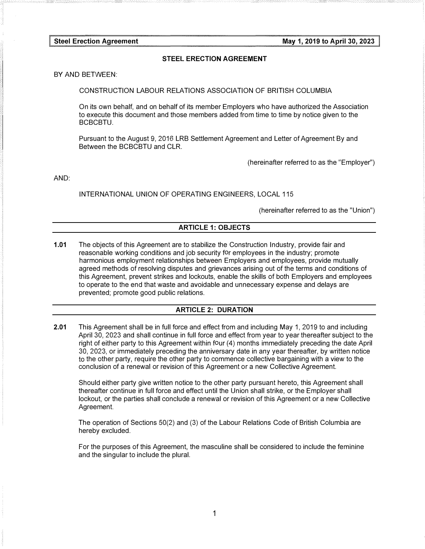#### STEEL ERECTION AGREEMENT

BY AND BETWEEN:

CONSTRUCTION LABOUR RELATIONS ASSOCIATION OF BRITISH COLUMBIA

On its own behalf, and on behalf of its member Employers who have authorized the Association to execute this document and those members added from time to time by notice given to the BCBCBTU.

Pursuant to the August 9, 2016 LRB Settlement Agreement and Letter of Agreement By and Between the BCBCBTU and CLR.

(hereinafter referred to as the "Employer")

AND:

INTERNATIONAL UNION OF OPERATING ENGINEERS, LOCAL 115

(hereinafter referred to as the "Union")

#### ARTICLE 1: OBJECTS

1.01 The objects of this Agreement are to stabilize the Construction Industry, provide fair and reasonable working conditions and job security for employees in the industry; promote harmonious employment relationships between Employers and employees, provide mutually agreed methods of resolving disputes and grievances arising out of the terms and conditions of this Agreement, prevent strikes and lockouts, enable the skills of both Employers and employees to operate to the end that waste and avoidable and unnecessary expense and delays are prevented; promote good public relations.

#### ARTICLE 2: DURATION

2.01 This Agreement shall be in full force and effect from and including May 1, 2019 to and including April 30, 2023 and shall continue in full force and effect from year to year thereafter subject to the right of either party to this Agreement within four (4) months immediately preceding the date April 30, 2023, or immediately preceding the anniversary date in any year thereafter, by written notice to the other party, require the other party to commence collective bargaining with a view to the conclusion of a renewal or revision of this Agreement or a new Collective Agreement.

Should either party give written notice to the other party pursuant hereto, this Agreement shall thereafter continue in full force and effect until the Union shall strike, or the Employer shall lockout, or the parties shall conclude a renewal or revision of this Agreement or a new Collective Agreement.

The operation of Sections 50(2) and (3) of the Labour Relations Code of British Columbia are hereby excluded.

For the purposes of this Agreement, the masculine shall be considered to include the feminine and the singular to include the plural.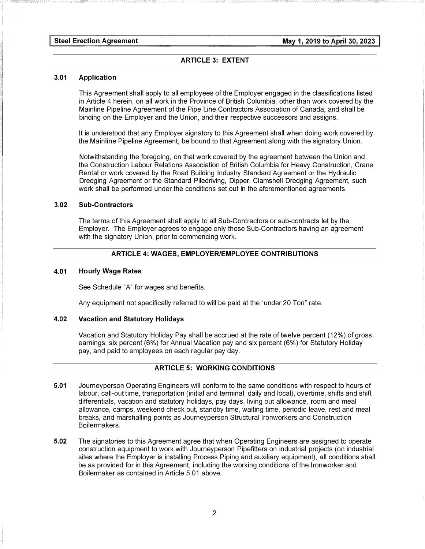#### ARTICLE 3: EXTENT

#### 3.01 Application

This Agreement shall apply to all employees of the Employer engaged in the classifications listed in Article 4 herein, on all work in the Province of British Columbia, other than work covered by the Mainline Pipeline Agreement of the Pipe Line Contractors Association of Canada, and shall be binding on the Employer and the Union, and their respective successors and assigns.

It is understood that any Employer signatory to this Agreement shall when doing work covered by the Mainline Pipeline Agreement, be bound to that Agreement along with the signatory Union.

Notwithstanding the foregoing, on that work covered by the agreement between the Union and the Construction Labour Relations Association of British Columbia for Heavy Construction, Crane Rental or work covered by the Road Building Industry Standard Agreement or the Hydraulic Dredging Agreement or the Standard Piledriving, Dipper, Clamshell Dredging Agreement, such work shall be performed under the conditions set out in the aforementioned agreements.

#### 3.02 Sub-Contractors

The terms of this Agreement shall apply to all Sub-Contractors or sub-contracts let by the Employer. The Employer agrees to engage only those Sub-Contractors having an agreement with the signatory Union, prior to commencing work.

#### ARTICLE 4: WAGES, EMPLOYER/EMPLOYEE CONTRIBUTIONS

#### 4.01 Hourly Wage Rates

See Schedule "A" for wages and benefits.

Any equipment not specifically referred to will be paid at the "under 20 Ton" rate.

#### 4.02 Vacation and Statutory Holidays

Vacation and Statutory Holiday Pay shall be accrued at the rate of twelve percent (12%) of gross earnings, six percent (6%) for Annual Vacation pay and six percent (6%) for Statutory Holiday pay, and paid to employees on each regular pay day.

#### ARTICLE 5: WORKING CONDITIONS

- 5.01 Journeyperson Operating Engineers will conform to the same conditions with respect to hours of labour, call-out time, transportation (initial and terminal, daily and local), overtime, shifts and shift differentials, vacation and statutory holidays, pay days, living out allowance, room and meal allowance, camps, weekend check out, standby time, waiting time, periodic leave, rest and meal breaks, and marshalling points as Journeyperson Structural lronworkers and Construction Boilermakers.
- 5.02 The signatories to this Agreement agree that when Operating Engineers are assigned to operate construction equipment to work with Journeyperson Pipefitters on industrial projects (on industrial sites where the Employer is installing Process Piping and auxiliary equipment), all conditions shall be as provided for in this Agreement, including the working conditions of the Ironworker and Boilermaker as contained in Article 5.01 above.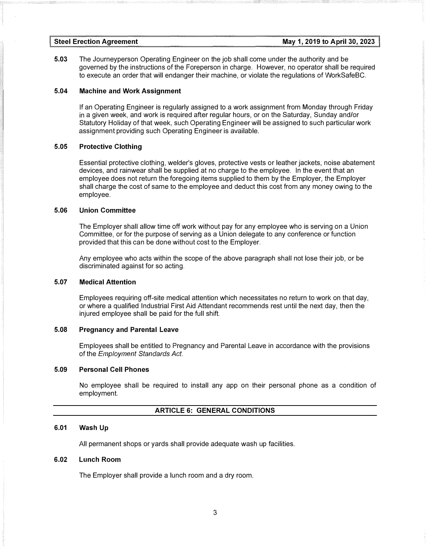5.03 The Journeyperson Operating Engineer on the job shall come under the authority and be governed by the instructions of the Foreperson in charge. However, no operator shall be required to execute an order that will endanger their machine, or violate the regulations of WorkSafeBC.

#### 5.04 Machine and Work Assignment

If an Operating Engineer is regularly assigned to a work assignment from Monday through Friday in a given week, and work is required after regular hours, or on the Saturday, Sunday and/or Statutory Holiday of that week, such Operating Engineer will be assigned to such particular work assignment providing such Operating Engineer is available.

#### 5.05 Protective Clothing

Essential protective clothing, welder's gloves, protective vests or leather jackets, noise abatement devices, and rainwear shall be supplied at no charge to the employee. In the event that an employee does not return the foregoing items supplied to them by the Employer, the Employer shall charge the cost of same to the employee and deduct this cost from any money owing to the employee.

#### 5.06 Union Committee

The Employer shall allow time off work without pay for any employee who is serving on a Union Committee, or for the purpose of serving as a Union delegate to any conference or function provided that this can be done without cost to the Employer.

Any employee who acts within the scope of the above paragraph shall not lose their job, or be discriminated against for so acting.

#### 5.07 Medical Attention

Employees requiring off-site medical attention which necessitates no return to work on that day, or where a qualified Industrial First Aid Attendant recommends rest until the next day, then the injured employee shall be paid for the full shift.

#### 5.08 Pregnancy and Parental Leave

Employees shall be entitled to Pregnancy and Parental Leave in accordance with the provisions of the Employment Standards Act.

#### 5.09 Personal Cell Phones

No employee shall be required to install any app on their personal phone as a condition of employment.

#### ARTICLE 6: GENERAL CONDITIONS

#### 6.01 Wash Up

All permanent shops or yards shall provide adequate wash up facilities.

#### 6.02 Lunch Room

The Employer shall provide a lunch room and a dry room.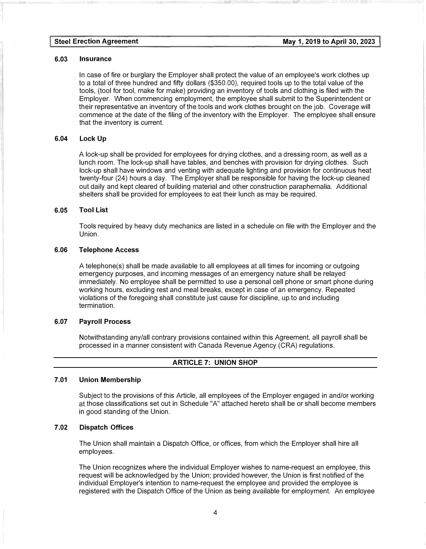#### 6.03 Insurance

In case of fire or burglary the Employer shall protect the value of an employee's work clothes up to a total of three hundred and fifty dollars (\$350.00), required tools up to the total value of the tools, (tool for tool, make for make) providing an inventory of tools and clothing is filed with the Employer. When commencing employment, the employee shall submit to the Superintendent or their representative an inventory of the tools and work clothes brought on the job. Coverage will commence at the date of the filing of the inventory with the Employer. The employee shall ensure that the inventory is current.

## 6.04 Lock Up

A lock-up shall be provided for employees for drying clothes, and a dressing room, as well as a lunch room. The lock-up shall have tables, and benches with provision for drying clothes. Such lock-up shall have windows and venting with adequate lighting and provision for continuous heat twenty-four (24) hours a day. The Employer shall be responsible for having the lock-up cleaned out daily and kept cleared of building material and other construction paraphernalia. Additional shelters shall be provided for employees to eat their lunch as may be required.

#### 6.05 Tool List

Tools required by heavy duty mechanics are listed in a schedule on file with the Employer and the Union.

#### 6.06 Telephone Access

A telephone(s) shall be made available to all employees at all times for incoming or outgoing emergency purposes, and incoming messages of an emergency nature shall be relayed immediately. No employee shall be permitted to use a personal cell phone or smart phone during working hours, excluding rest and meal breaks, except in case of an emergency. Repeated violations of the foregoing shall constitute just cause for discipline, up to and including termination.

#### 6.07 Payroll Process

Notwithstanding any/all contrary provisions contained within this Agreement, all payroll shall be processed in a manner consistent with Canada Revenue Agency (CRA) regulations.

#### ARTICLE 7: UNION SHOP

#### 7.01 Union Membership

Subject to the provisions of this Article, all employees of the Employer engaged in and/or working at those classifications set out in Schedule "A" attached hereto shall be or shall become members in good standing of the Union.

#### 7 .02 Dispatch Offices

The Union shall maintain a Dispatch Office, or offices, from which the Employer shall hire all employees.

The Union recognizes where the individual Employer wishes to name-request an employee, this request will be acknowledged by the Union; provided however, the Union is first notified of the individual Employer's intention to name-request the employee and provided the employee is registered with the Dispatch Office of the Union as being available for employment. An employee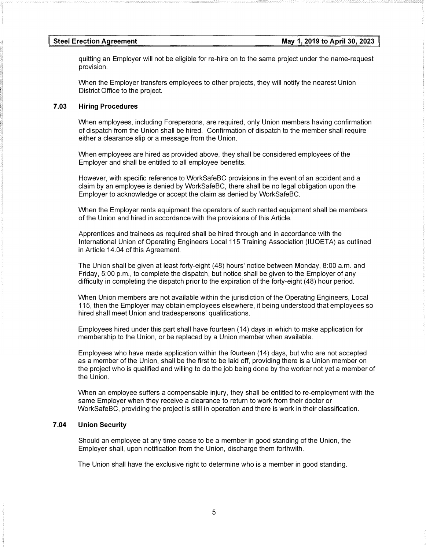quitting an Employer will not be eligible for re-hire on to the same project under the name-request provision.

When the Employer transfers employees to other projects, they will notify the nearest Union District Office to the project.

## 7.03 Hiring Procedures

When employees, including Forepersons, are required, only Union members having confirmation of dispatch from the Union shall be hired. Confirmation of dispatch to the member shall require either a clearance slip or a message from the Union.

When employees are hired as provided above, they shall be considered employees of the Employer and shall be entitled to all employee benefits.

However, with specific reference to WorkSafeBC provisions in the event of an accident and a claim by an employee is denied by WorkSafeBC, there shall be no legal obligation upon the Employer to acknowledge or accept the claim as denied by WorkSafeBC.

When the Employer rents equipment the operators of such rented equipment shall be members of the Union and hired in accordance with the provisions of this Article.

Apprentices and trainees as required shall be hired through and in accordance with the International Union of Operating Engineers Local 115 Training Association (IUOETA) as outlined in Article 14.04 of this Agreement.

The Union shall be given at least forty-eight (48) hours' notice between Monday, 8:00 a.m. and Friday, 5:00 p.m., to complete the dispatch, but notice shall be given to the Employer of any difficulty in completing the dispatch prior to the expiration of the forty-eight (48) hour period.

When Union members are not available within the jurisdiction of the Operating Engineers, Local 115, then the Employer may obtain employees elsewhere, it being understood that employees so hired shall meet Union and tradespersons' qualifications.

Employees hired under this part shall have fourteen (14) days in which to make application for membership to the Union, or be replaced by a Union member when available.

Employees who have made application within the fourteen (14) days, but who are not accepted as a member of the Union, shall be the first to be laid off, providing there is a Union member on the project who is qualified and willing to do the job being done by the worker not yet a member of the Union.

When an employee suffers a compensable injury, they shall be entitled to re-employment with the same Employer when they receive a clearance to return to work from their doctor or WorkSafeBC, providing the project is still in operation and there is work in their classification.

#### 7 .04 Union Security

Should an employee at any time cease to be a member in good standing of the Union, the Employer shall, upon notification from the Union, discharge them forthwith.

The Union shall have the exclusive right to determine who is a member in good standing.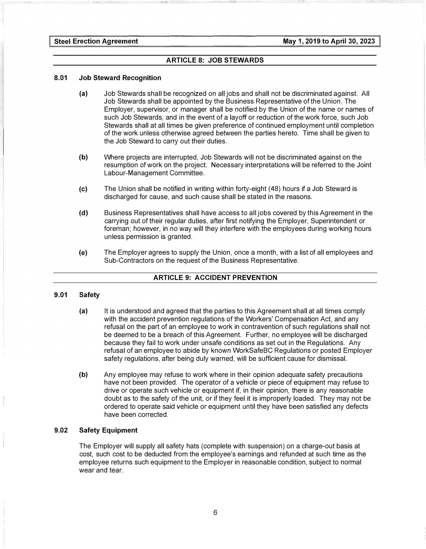#### ARTICLE 8: JOB STEWARDS

#### 8.01 Job Steward Recognition

- (a) Job Stewards shall be recognized on all jobs and shall not be discriminated against. All Job Stewards shall be appointed by the Business Representative of the Union. The Employer, supervisor, or manager shall be notified by the Union of the name or names of such Job Stewards, and in the event of a layoff or reduction of the work force, such Job Stewards shall at all times be given preference of continued employment until completion of the work unless otherwise agreed between the parties hereto. Time shall be given to the Job Steward to carry out their duties.
- (b) Where projects are interrupted, Job Stewards will not be discriminated against on the resumption of work on the project. Necessary interpretations will be referred to the Joint Labour-Management Committee.
- (c) The Union shall be notified in writing within forty-eight (48) hours if a Job Steward is discharged for cause, and such cause shall be stated in the reasons.
- (d) Business Representatives shall have access to all jobs covered by this Agreement in the carrying out of their regular duties, after first notifying the Employer, Superintendent or foreman; however, in no way will they interfere with the employees during working hours unless permission is granted.
- (e) The Employer agrees to supply the Union, once a month, with a list of all employees and Sub-Contractors on the request of the Business Representative.

#### ARTICLE 9: ACCIDENT PREVENTION

#### 9.01 Safety

- (a) It is understood and agreed that the parties to this Agreement shall at all times comply with the accident prevention regulations of the Workers' Compensation Act, and any refusal on the part of an employee to work in contravention of such regulations shall not be deemed to be a breach of this Agreement. Further, no employee will be discharged because they fail to work under unsafe conditions as set out in the Regulations. Any refusal of an employee to abide by known WorkSafeBC Regulations or posted Employer safety regulations, after being duly warned, will be sufficient cause for dismissal.
- (b) Any employee may refuse to work where in their opinion adequate safety precautions have not been provided. The operator of a vehicle or piece of equipment may refuse to drive or operate such vehicle or equipment if, in their opinion, there is any reasonable doubt as to the safety of the unit, or if they feel it is improperly loaded. They may not be ordered to operate said vehicle or equipment until they have been satisfied any defects have been corrected.

#### 9.02 Safety Equipment

The Employer will supply all safety hats (complete with suspension) on a charge-out basis at cost, such cost to be deducted from the employee's earnings and refunded at such time as the employee returns such equipment to the Employer in reasonable condition, subject to normal wear and tear.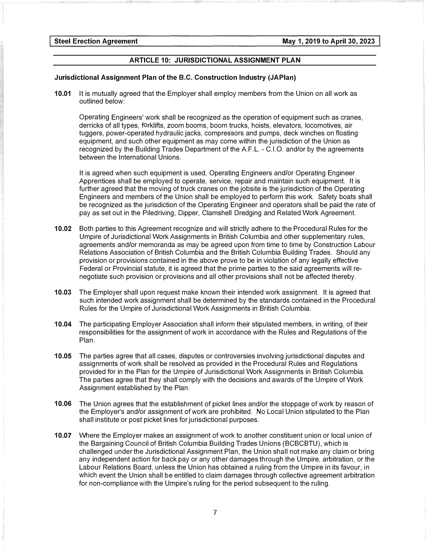#### ARTICLE 10: JURISDICTIONAL ASSIGNMENT PLAN

#### Jurisdictional Assignment Plan of the B.C. Construction Industry (JAPlan)

10.01 It is mutually agreed that the Employer shall employ members from the Union on all work as outlined below:

Operating Engineers' work shall be recognized as the operation of equipment such as cranes, derricks of all types, forklifts, zoom booms, boom trucks, hoists, elevators, locomotives, air tuggers, power-operated hydraulic jacks, compressors and pumps, deck winches on floating equipment, and such other equipment as may come within the jurisdiction of the Union as recognized by the Building Trades Department of the A.F.L. - C.1.0. and/or by the agreements between the International Unions.

It is agreed when such equipment is used, Operating Engineers and/or Operating Engineer Apprentices shall be employed to operate, service, repair and maintain such equipment. It is further agreed that the moving of truck cranes on the jobsite is the jurisdiction of the Operating Engineers and members of the Union shall be employed to perform this work. Safety boats shall be recognized as the jurisdiction of the Operating Engineer and operators shall be paid the rate of pay as set out in the Piledriving, Dipper, Clamshell Dredging and Related Work Agreement.

- 10.02 Both parties to this Agreement recognize and will strictly adhere to the Procedural Rules for the Umpire of Jurisdictional Work Assignments in British Columbia and other supplementary rules, agreements and/or memoranda as may be agreed upon from time to time by Construction Labour Relations Association of British Columbia and the British Columbia Building Trades. Should any provision or provisions contained in the above prove to be in violation of any legally effective Federal or Provincial statute, it is agreed that the prime parties to the said agreements will renegotiate such provision or provisions and all other provisions shall not be affected thereby.
- 10.03 The Employer shall upon request make known their intended work assignment. It is agreed that such intended work assignment shall be determined by the standards contained in the Procedural Rules for the Umpire of Jurisdictional Work Assignments in British Columbia.
- 10.04 The participating Employer Association shall inform their stipulated members, in writing, of their responsibilities for the assignment of work in accordance with the Rules and Regulations of the Plan.
- 10.05 The parties agree that all cases, disputes or controversies involving jurisdictional disputes and assignments of work shall be resolved as provided in the Procedural Rules and Regulations provided for in the Plan for the Umpire of Jurisdictional Work Assignments in British Columbia. The parties agree that they shall comply with the decisions and awards of the Umpire of Work Assignment established by the Plan.
- 10.06 The Union agrees that the establishment of picket lines and/or the stoppage of work by reason of the Employer's and/or assignment of work are prohibited. No Local Union stipulated to the Plan shall institute or post picket lines for jurisdictional purposes.
- 10.07 Where the Employer makes an assignment of work to another constituent union or local union of the Bargaining Council of British Columbia Building Trades Unions (BCBCBTU), which is challenged under the Jurisdictional Assignment Plan, the Union shall not make any claim or bring any independent action for back pay or any other damages through the Umpire, arbitration, or the Labour Relations Board, unless the Union has obtained a ruling from the Umpire in its favour, in which event the Union shall be entitled to claim damages through collective agreement arbitration for non-compliance with the Umpire's ruling for the period subsequent to the ruling.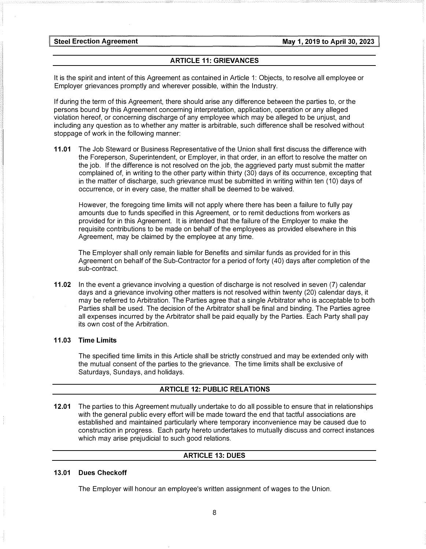#### ARTICLE 11: GRIEVANCES

It is the spirit and intent of this Agreement as contained in Article 1: Objects, to resolve all employee or Employer grievances promptly and wherever possible, within the Industry.

If during the term of this Agreement, there should arise any difference between the parties to, or the persons bound by this Agreement concerning interpretation, application, operation or any alleged violation hereof, or concerning discharge of any employee which may be alleged to be unjust, and including any question as to whether any matter is arbitrable, such difference shall be resolved without stoppage of work in the following manner:

11.01 The Job Steward or Business Representative of the Union shall first discuss the difference with the Foreperson, Superintendent, or Employer, in that order, in an effort to resolve the matter on the job. If the difference is not resolved on the job, the aggrieved party must submit the matter complained of, in writing to the other party within thirty (30) days of its occurrence, excepting that in the matter of discharge, such grievance must be submitted in writing within ten (10) days of occurrence, or in every case, the matter shall be deemed to be waived.

However, the foregoing time limits will not apply where there has been a failure to fully pay amounts due to funds specified in this Agreement, or to remit deductions from workers as provided for in this Agreement. It is intended that the failure of the Employer to make the requisite contributions to be made on behalf of the employees as provided elsewhere in this Agreement, may be claimed by the employee at any time.

The Employer shall only remain liable for Benefits and similar funds as provided for in this Agreement on behalf of the Sub-Contractor for a period of forty (40) days after completion of the sub-contract.

11.02 In the event a grievance involving a question of discharge is not resolved in seven (7) calendar days and a grievance involving other matters is not resolved within twenty (20) calendar days, it may be referred to Arbitration. The Parties agree that a single Arbitrator who is acceptable to both Parties shall be used. The decision of the Arbitrator shall be final and binding. The Parties agree all expenses incurred by the Arbitrator shall be paid equally by the Parties. Each Party shall pay its own cost of the Arbitration.

#### 11.03 Time Limits

The specified time limits in this Article shall be strictly construed and may be extended only with the mutual consent of the parties to the grievance. The time limits shall be exclusive of Saturdays, Sundays, and holidays.

#### ARTICLE 12: PUBLIC RELATIONS

12.01 The parties to this Agreement mutually undertake to do all possible to ensure that in relationships with the general public every effort will be made toward the end that tactful associations are established and maintained particularly where temporary inconvenience may be caused due to construction in progress. Each party hereto undertakes to mutually discuss and correct instances which may arise prejudicial to such good relations.

#### ARTICLE 13: DUES

#### 13.01 Dues Checkoff

The Employer will honour an employee's written assignment of wages to the Union.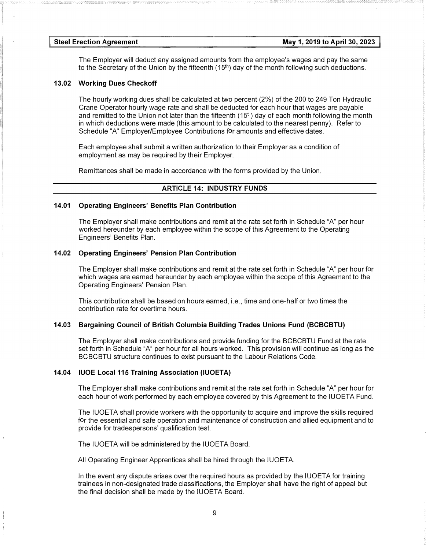The Employer will deduct any assigned amounts from the employee's wages and pay the same to the Secretary of the Union by the fifteenth  $(15<sup>th</sup>)$  day of the month following such deductions.

#### 13.02 Working Dues Checkoff

The hourly working dues shall be calculated at two percent (2%) of the 200 to 249 Ton Hydraulic Crane Operator hourly wage rate and shall be deducted for each hour that wages are payable and remitted to the Union not later than the fifteenth  $(15<sup>t</sup>)$  day of each month following the month in which deductions were made (this amount to be calculated to the nearest penny). Refer to Schedule "A" Employer/Employee Contributions for amounts and effective dates.

Each employee shall submit a written authorization to their Employer as a condition of employment as may be required by their Employer.

Remittances shall be made in accordance with the forms provided by the Union.

#### ARTICLE 14: INDUSTRY FUNDS

#### 14.01 Operating Engineers' Benefits Plan Contribution

The Employer shall make contributions and remit at the rate set forth in Schedule "A" per hour worked hereunder by each employee within the scope of this Agreement to the Operating Engineers' Benefits Plan.

#### 14.02 Operating Engineers' Pension Plan Contribution

The Employer shall make contributions and remit at the rate set forth in Schedule "A" per hour for which wages are earned hereunder by each employee within the scope of this Agreement to the Operating Engineers' Pension Plan.

This contribution shall be based on hours earned, i.e., time and one-half or two times the contribution rate for overtime hours.

#### 14.03 Bargaining Council of British Columbia Building Trades Unions Fund (BCBCBTU)

The Employer shall make contributions and provide funding for the BCBCBTU Fund at the rate set forth in Schedule "A" per hour for all hours worked. This provision will continue as long as the BCBCBTU structure continues to exist pursuant to the Labour Relations Code.

#### 14.04 IUOE Local 115 Training Association (IUOETA)

The Employer shall make contributions and remit at the rate set forth in Schedule "A" per hour for each hour of work performed by each employee covered by this Agreement to the IUOETA Fund.

The IUOETA shall provide workers with the opportunity to acquire and improve the skills required for the essential and safe operation and maintenance of construction and allied equipment and to provide for tradespersons' qualification test.

The IUOETA will be administered by the IUOETA Board.

All Operating Engineer Apprentices shall be hired through the IUOETA.

In the event any dispute arises over the required hours as provided by the IUOETA for training trainees in non-designated trade classifications, the Employer shall have the right of appeal but the final decision shall be made by the IUOETA Board.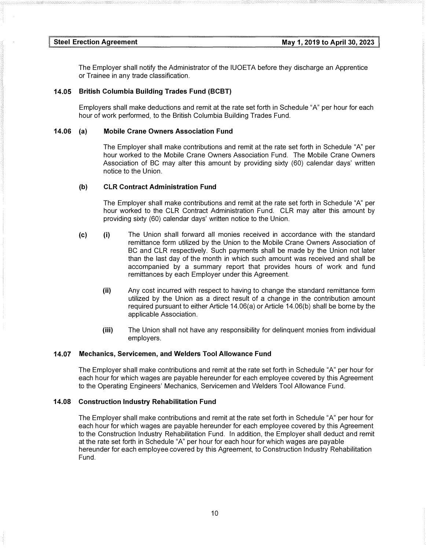The Employer shall notify the Administrator of the IUOETA before they discharge an Apprentice or Trainee in any trade classification.

#### 14.05 British Columbia Building Trades Fund (BCBT)

Employers shall make deductions and remit at the rate set forth in Schedule "A" per hour for each hour of work performed, to the British Columbia Building Trades Fund.

#### 14.06 (a) Mobile Crane Owners Association Fund

The Employer shall make contributions and remit at the rate set forth in Schedule "A" per hour worked to the Mobile Crane Owners Association Fund. The Mobile Crane Owners Association of BC may alter this amount by providing sixty (60) calendar days' written notice to the Union.

#### (b) CLR Contract Administration Fund

The Employer shall make contributions and remit at the rate set forth in Schedule "A" per hour worked to the CLR Contract Administration Fund. CLR may alter this amount by providing sixty (60) calendar days' written notice to the Union.

- (c) (i) The Union shall forward all monies received in accordance with the standard remittance form utilized by the Union to the Mobile Crane Owners Association of BC and CLR respectively. Such payments shall be made by the Union not later than the last day of the month in which such amount was received and shall be accompanied by a summary report that provides hours of work and fund remittances by each Employer under this Agreement
	- (ii) Any cost incurred with respect to having to change the standard remittance form utilized by the Union as a direct result of a change in the contribution amount required pursuant to either Article 14.06(a) or Article 14.06(b) shall be borne by the applicable Association.
	- (iii) The Union shall not have any responsibility for delinquent monies from individual employers.

#### 14.07 Mechanics, Servicemen, and Welders Tool Allowance Fund

The Employer shall make contributions and remit at the rate set forth in Schedule "A" per hour for each hour for which wages are payable hereunder for each employee covered by this Agreement to the Operating Engineers' Mechanics, Servicemen and Welders Tool Allowance Fund.

#### 14.08 Construction Industry Rehabilitation Fund

The Employer shall make contributions and remit at the rate set forth in Schedule "A" per hour for each hour for which wages are payable hereunder for each employee covered by this Agreement to the Construction Industry Rehabilitation Fund. In addition, the Employer shall deduct and remit at the rate set forth in Schedule "A" per hour for each hour for which wages are payable hereunder for each employee covered by this Agreement, to Construction Industry Rehabilitation Fund.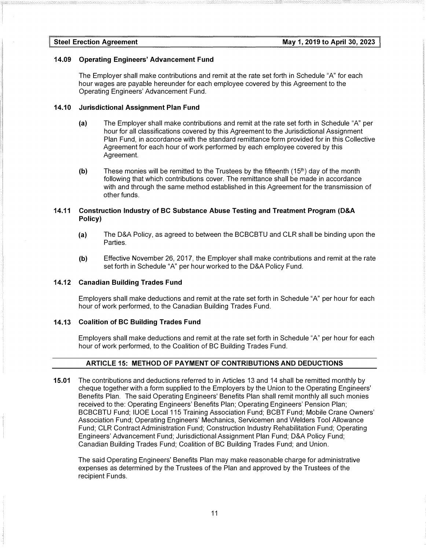#### 14.09 Operating Engineers' Advancement Fund

The Employer shall make contributions and remit at the rate set forth in Schedule "A" for each hour wages are payable hereunder for each employee covered by this Agreement to the Operating Engineers' Advancement Fund.

#### 14.10 Jurisdictional Assignment Plan Fund

- (a) The Employer shall make contributions and remit at the rate set forth in Schedule "A" per hour for all classifications covered by this Agreement to the Jurisdictional Assignment Plan Fund, in accordance with the standard remittance form provided for in this Collective Agreement for each hour of work performed by each employee covered by this Agreement.
- (b) These monies will be remitted to the Trustees by the fifteenth  $(15<sup>th</sup>)$  day of the month following that which contributions cover. The remittance shall be made in accordance with and through the same method established in this Agreement for the transmission of other funds.

#### 14.11 Construction Industry of BC Substance Abuse Testing and Treatment Program (D&A Policy)

- (a) The D&A Policy, as agreed to between the BCBCBTU and CLR shall be binding upon the **Parties**
- (b) Effective November 26, 2017, the Employer shall make contributions and remit at the rate set forth in Schedule "A" per hour worked to the D&A Policy Fund.

#### 14.12 Canadian Building Trades Fund

Employers shall make deductions and remit at the rate set forth in Schedule "A" per hour for each hour of work performed, to the Canadian Building Trades Fund.

#### 14.13 Coalition of BC Building Trades Fund

Employers shall make deductions and remit at the rate set forth in Schedule "A" per hour for each hour of work performed, to the Coalition of BC Building Trades Fund.

#### ARTICLE 15: METHOD OF PAYMENT OF CONTRIBUTIONS AND DEDUCTIONS

15.01 The contributions and deductions referred to in Articles 13 and 14 shall be remitted monthly by cheque together with a form supplied to the Employers by the Union to the Operating Engineers' Benefits Plan. The said Operating Engineers' Benefits Plan shall remit monthly all such monies received to the: Operating Engineers' Benefits Plan; Operating Engineers' Pension Plan; BCBCBTU Fund; IUOE Local 115 Training Association Fund; BCBT Fund; Mobile Crane Owners' Association Fund; Operating Engineers' Mechanics, Servicemen and Welders Tool Allowance Fund; CLR Contract Administration Fund; Construction Industry Rehabilitation Fund; Operating Engineers' Advancement Fund; Jurisdictional Assignment Plan Fund; D&A Policy Fund; Canadian Building Trades Fund; Coalition of BC Building Trades Fund; and Union.

The said Operating Engineers' Benefits Plan may make reasonable charge for administrative expenses as determined by the Trustees of the Plan and approved by the Trustees of the recipient Funds.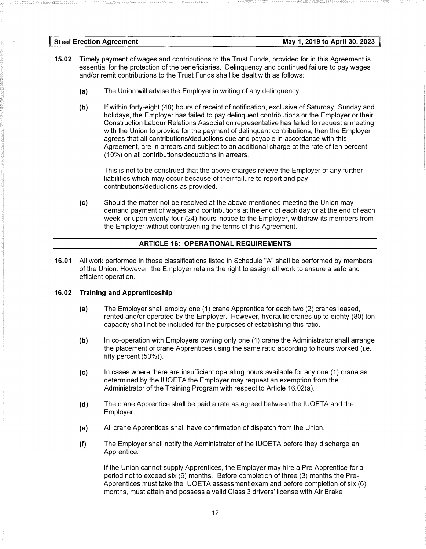- **15.02** Timely payment of wages and contributions to the Trust Funds, provided for in this Agreement is essential for the protection of the beneficiaries. Delinquency and continued failure to pay wages and/or remit contributions to the Trust Funds shall be dealt with as follows:
	- (a) The Union will advise the Employer in writing of any delinquency.
	- (b) If within forty-eight (48) hours of receipt of notification, exclusive of Saturday, Sunday and holidays, the Employer has failed to pay delinquent contributions or the Employer or their Construction Labour Relations Association representative has failed to request a meeting with the Union to provide for the payment of delinquent contributions, then the Employer agrees that all contributions/deductions due and payable in accordance with this Agreement, are in arrears and subject to an additional charge at the rate of ten percent (10%) on all contributions/deductions in arrears.

This is not to be construed that the above charges relieve the Employer of any further liabilities which may occur because of their failure to report and pay contributions/deductions as provided.

(c) Should the matter not be resolved at the above-mentioned meeting the Union may demand payment of wages and contributions at the end of each day or at the end of each week, or upon twenty-four (24) hours' notice to the Employer, withdraw its members from the Employer without contravening the terms of this Agreement.

#### ARTICLE 16: OPERATIONAL REQUIREMENTS

16.01 All work performed in those classifications listed in Schedule "A" shall be performed by members of the Union. However, the Employer retains the right to assign all work to ensure a safe and efficient operation.

#### 16.02 Training and Apprenticeship

- (a) The Employer shall employ one (1) crane Apprentice for each two (2) cranes leased, rented and/or operated by the Employer. However, hydraulic cranes up to eighty (80) ton capacity shall not be included for the purposes of establishing this ratio.
- (b) In co-operation with Employers owning only one (1) crane the Administrator shall arrange the placement of crane Apprentices using the same ratio according to hours worked (i.e. fifty percent (50%)).
- (c) In cases where there are insufficient operating hours available for any one (1) crane as determined by the IUOETA the Employer may request an exemption from the Administrator of the Training Program with respect to Article 16.02(a).
- (d) The crane Apprentice shall be paid a rate as agreed between the IUOETA and the Employer.
- (e) All crane Apprentices shall have confirmation of dispatch from the Union.
- (f) The Employer shall notify the Administrator of the IUOETA before they discharge an Apprentice.

If the Union cannot supply Apprentices, the Employer may hire a Pre-Apprentice for a period not to exceed six (6) months. Before completion of three (3) months the Pre-Apprentices must take the IUOETA assessment exam and before completion of six (6) months, must attain and possess a valid Class 3 drivers' license with Air Brake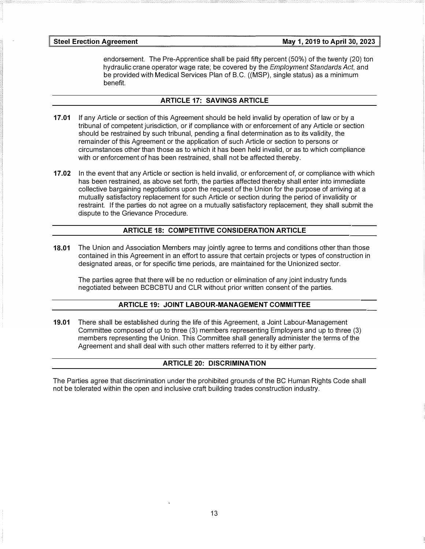endorsement. The Pre-Apprentice shall be paid fifty percent (50%) of the twenty (20) ton hydraulic crane operator wage rate; be covered by the *Employment Standards Act*, and be provided with Medical Services Plan of B.C. ((MSP), single status) as a minimum benefit.

#### ARTICLE 17: SAVINGS ARTICLE

- 17.01 If any Article or section of this Agreement should be held invalid by operation of law or by a tribunal of competent jurisdiction, or if compliance with or enforcement of any Article or section should be restrained by such tribunal, pending a final determination as to its validity, the remainder of this Agreement or the application of such Article or section to persons or circumstances other than those as to which it has been held invalid, or as to which compliance with or enforcement of has been restrained, shall not be affected thereby.
- 17.02 In the event that any Article or section is held invalid, or enforcement of, or compliance with which has been restrained, as above set forth, the parties affected thereby shall enter into immediate collective bargaining negotiations upon the request of the Union for the purpose of arriving at a mutually satisfactory replacement for such Article or section during the period of invalidity or restraint. If the parties do not agree on a mutually satisfactory replacement, they shall submit the dispute to the Grievance Procedure.

## ARTICLE 18: COMPETITIVE CONSIDERATION ARTICLE

18.01 The Union and Association Members may jointly agree to terms and conditions other than those contained in this Agreement in an effort to assure that certain projects or types of construction in designated areas, or for specific time periods, are maintained for the Unionized sector.

The parties agree that there will be no reduction or elimination of any joint industry funds negotiated between BCBCBTU and CLR without prior written consent of the parties.

#### ARTICLE 19: JOINT LABOUR-MANAGEMENT COMMITTEE

19.01 There shall be established during the life of this Agreement, a Joint Labour-Management Committee composed of up to three (3) members representing Employers and up to three (3) members representing the Union. This Committee shall generally administer the terms of the Agreement and shall deal with such other matters referred to it by either party.

## ARTICLE 20: DISCRIMINATION

The Parties agree that discrimination under the prohibited grounds of the BC Human Rights Code shall not be tolerated within the open and inclusive craft building trades construction industry.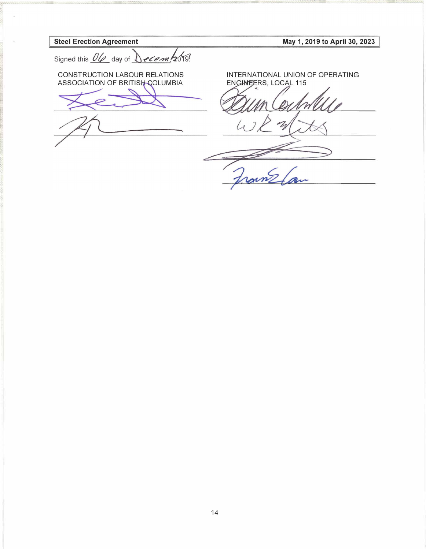**Steel Erection Agreement** May 1, 2019 to April 30, 2023 Signed this <u>Ole</u> day of *Jecom* 2019! INTERNATIONAL UNION OF OPERATING CONSTRUCTION LABOUR RELATIONS EN GINEERS, LOCAL 115 ASSOCIATION OF BRITISH COLUMBIA Frame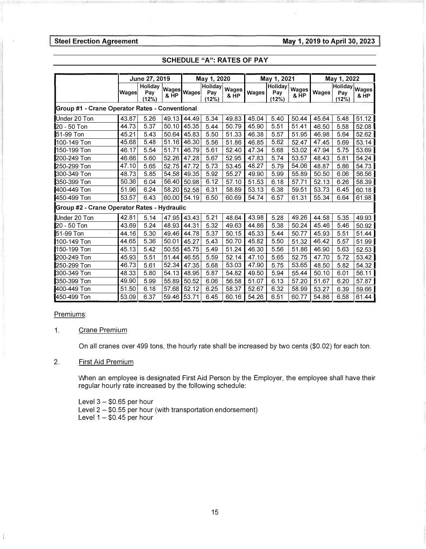Steel Erection Agreement **May 1, 2019 to April 30, 2023** 

|                                                | June 27, 2019 |                         |       | May 1, 2020 |                         |               | May 1, 2021 |                         |                      | May 1, 2022 |                               |       |
|------------------------------------------------|---------------|-------------------------|-------|-------------|-------------------------|---------------|-------------|-------------------------|----------------------|-------------|-------------------------------|-------|
|                                                | <b>Wages</b>  | Holiday<br>Pav<br>(12%) |       | Wages Wages | Holiday<br>Pay<br>(12%) | Wages<br>& HP | Wages       | Holiday<br>Pay<br>(12%) | <b>Wages</b><br>& HP | Wages       | Holiday Wages<br>Pay<br>(12%) | & HP  |
| Group #1 - Crane Operator Rates - Conventional |               |                         |       |             |                         |               |             |                         |                      |             |                               |       |
| Under 20 Ton                                   | 43.87         | 5.26                    | 49.13 | 44.49       | 5.34                    | 49.83         | 45.04       | 5.40                    | 50.44                | 45.64       | 5.48                          | 51.12 |
| 20 - 50 Ton                                    | 44.73         | 5.37                    | 50.10 | 45.35       | 5.44                    | 50.79         | 45.90       | 5.51                    | 51.41                | 46.50       | 5.58                          | 52.08 |
| 51-99 Ton                                      | 45.21         | 5.43                    | 50.64 | 45.83       | 5.50                    | 51.33         | 46.38       | 5.57                    | 51.95                | 46.98       | 5.64                          | 52.62 |
| 100-149 Ton                                    | 45.68         | 5.48                    | 51.16 | 46.30       | 5.56                    | 51.86         | 46.85       | 5.62                    | 52.47                | 47.45       | 5.69                          | 53.14 |
| 150-199 Ton                                    | 46.17         | 5.54                    | 51.71 | 46.79       | 5.61                    | 52.40         | 47.34       | 5.68                    | 53.02                | 47.94       | 5.75                          | 53.69 |
| 200-249 Ton                                    | 46.66         | 5.60                    | 52.26 | 47.28       | 5.67                    | 52.95         | 47.83       | 5.74                    | 53.57                | 48.43       | 5.81                          | 54.24 |
| 250-299 Ton                                    | 47.10         | 5.65                    | 52.75 | 47.72       | 5.73                    | 53.45         | 48.27       | 5.79                    | 54.06                | 48.87       | 5.86                          | 54.73 |
| 300-349 Ton                                    | 48.73         | 5.85                    | 54.58 | 49.35       | 5.92                    | 55.27         | 49.90       | 5.99                    | 55.89                | 50.50       | 6.06                          | 56.56 |
| 350-399 Ton                                    | 50.36         | 6.04                    | 56.40 | 50.98       | 6.12                    | 57.10         | 51.53       | 6.18                    | 57.71                | 52.13       | 6.26                          | 58.39 |
| 400-449 Ton                                    | 51.96         | 6.24                    | 58.20 | 52.58       | 6.31                    | 58.89         | 53.13       | 6.38                    | 59.51                | 53.73       | 6.45                          | 60.18 |
| 450-499 Ton                                    | 53.57         | 6.43                    | 60.00 | 54.19       | 6.50                    | 60.69         | 54.74       | 6.57                    | 61.31                | 55.34       | 6.64                          | 61.98 |
| Group #2 - Crane Operator Rates - Hydraulic    |               |                         |       |             |                         |               |             |                         |                      |             |                               |       |
| Under 20 Ton                                   | 42.81         | 5.14                    | 47.95 | 43.43       | 5.21                    | 48.64         | 43.98       | 5.28                    | 49.26                | 44.58       | 5.35                          | 49.93 |
| 20 - 50 Ton                                    | 43.69         | 5.24                    | 48.93 | 44.31       | 5.32                    | 49.63         | 44.86       | 5.38                    | 50.24                | 45.46       | 5.46                          | 50.92 |
| 51-99 Ton                                      | 44.16         | 5.30                    | 49.46 | 44.78       | 5.37                    | 50.15         | 45.33       | 5.44                    | 50.77                | 45.93       | 5.51                          | 51.44 |
| 100-149 Ton                                    | 44.65         | 5.36                    | 50.01 | 45.27       | 5.43                    | 50.70         | 45.82       | 5.50                    | 51.32                | 46.42       | 5.57                          | 51.99 |
| 150-199 Ton                                    | 45.13         | 5.42                    | 50.55 | 45.75       | 5.49                    | 51.24         | 46.30       | 5.56                    | 51.86                | 46.90       | 5.63                          | 52.53 |
| 200-249 Ton                                    | 45.93         | 5.51                    | 51.44 | 46.55       | 5.59                    | 52.14         | 47.10       | 5.65                    | 52.75                | 47.70       | 5.72                          | 53.42 |
| 250-299 Ton                                    | 46.73         | 5.61                    | 52.34 | 47.35       | 5.68                    | 53.03         | 47.90       | 5.75                    | 53.65                | 48.50       | 5.82                          | 54.32 |
| 300-349 Ton                                    | 48.33         | 5.80                    | 54.13 | 48.95       | 5.87                    | 54.82         | 49.50       | 5.94                    | 55.44                | 50.10       | 6.01                          | 56.11 |
| 350-399 Ton                                    | 49.90         | 5.99                    | 55.89 | 50.52       | 6.06                    | 56.58         | 51.07       | 6.13                    | 57.20                | 51.67       | 6.20                          | 57.87 |
| 400-449 Ton                                    | 51.50         | 6.18                    | 57.68 | 52.12       | 6.25                    | 58.37         | 52.67       | 6.32                    | 58.99                | 53.27       | 6.39                          | 59.66 |
| 450-499 Ton                                    | 53.09         | 6.37                    | 59.46 | 53.71       | 6.45                    | 60.16         | 54.26       | 6.51                    | 60.77                | 54.86       | 6.58                          | 61.44 |

#### SCHEDULE "A": RA TES OF PAY

#### Premiums:

 $\frac{1}{4}$ 

#### 1. Crane Premium

On all cranes over 499 tons, the hourly rate shall be increased by two cents (\$0.02) for each ton.

#### 2. First Aid Premium

When an employee is designated First Aid Person by the Employer, the employee shall have their regular hourly rate increased by the following schedule:

Level  $3 - $0.65$  per hour Level  $2 - $0.55$  per hour (with transportation endorsement) Level  $1 - $0.45$  per hour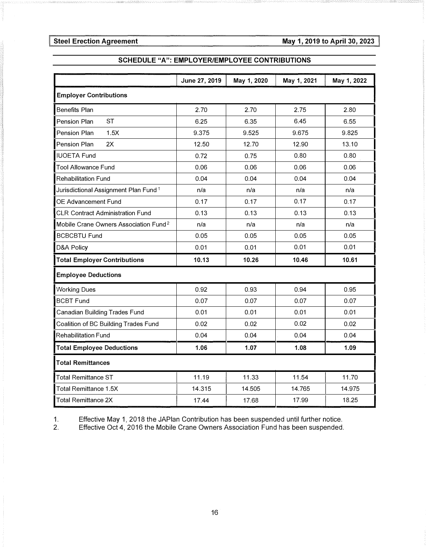## SCHEDULE "A": EMPLOYER/EMPLOYEE CONTRIBUTIONS

|                                                   | June 27, 2019 | May 1, 2020 | May 1, 2021 | May 1, 2022 |  |  |  |  |
|---------------------------------------------------|---------------|-------------|-------------|-------------|--|--|--|--|
| <b>Employer Contributions</b>                     |               |             |             |             |  |  |  |  |
| <b>Benefits Plan</b>                              | 2.70          | 2.70        | 2.75        | 2.80        |  |  |  |  |
| <b>ST</b><br>Pension Plan                         | 6.25          | 6.35        | 6.45        | 6.55        |  |  |  |  |
| 1.5X<br>Pension Plan                              | 9.375         | 9.525       | 9.675       | 9.825       |  |  |  |  |
| Pension Plan<br>2X                                | 12.50         | 12.70       | 12.90       | 13.10       |  |  |  |  |
| <b>IUOETA Fund</b>                                | 0.72          | 0.75        | 0.80        | 0.80        |  |  |  |  |
| <b>Tool Allowance Fund</b>                        | 0.06          | 0.06        | 0.06        | 0.06        |  |  |  |  |
| <b>Rehabilitation Fund</b>                        | 0.04          | 0.04        | 0.04        | 0.04        |  |  |  |  |
| Jurisdictional Assignment Plan Fund <sup>1</sup>  | n/a           | n/a         | n/a         | n/a         |  |  |  |  |
| OE Advancement Fund                               | 0.17          | 0.17        | 0.17        | 0.17        |  |  |  |  |
| <b>CLR Contract Administration Fund</b>           | 0.13          | 0.13        | 0.13        | 0.13        |  |  |  |  |
| Mobile Crane Owners Association Fund <sup>2</sup> | n/a           | n/a         | n/a         | n/a         |  |  |  |  |
| <b>BCBCBTU Fund</b>                               | 0.05          | 0.05        | 0.05        | 0.05        |  |  |  |  |
| D&A Policy                                        | 0.01          | 0.01        | 0.01        | 0.01        |  |  |  |  |
| <b>Total Employer Contributions</b>               | 10.13         | 10.26       | 10.46       | 10.61       |  |  |  |  |
| <b>Employee Deductions</b>                        |               |             |             |             |  |  |  |  |
| <b>Working Dues</b>                               | 0.92          | 0.93        | 0.94        | 0.95        |  |  |  |  |
| <b>BCBT Fund</b>                                  | 0.07          | 0.07        | 0.07        | 0.07        |  |  |  |  |
| <b>Canadian Building Trades Fund</b>              | 0.01          | 0.01        | 0.01        | 0.01        |  |  |  |  |
| Coalition of BC Building Trades Fund              | 0.02          | 0.02        | 0.02        | 0.02        |  |  |  |  |
| <b>Rehabilitation Fund</b>                        | 0.04          | 0.04        | 0.04        | 0.04        |  |  |  |  |
| <b>Total Employee Deductions</b>                  | 1.06          | 1.07        | 1.08        | 1.09        |  |  |  |  |
| <b>Total Remittances</b>                          |               |             |             |             |  |  |  |  |
| <b>Total Remittance ST</b>                        | 11.19         | 11.33       | 11.54       | 11.70       |  |  |  |  |
| <b>Total Remittance 1.5X</b>                      | 14.315        | 14.505      | 14.765      | 14.975      |  |  |  |  |
| <b>Total Remittance 2X</b>                        | 17.44         | 17.68       | 17.99       | 18.25       |  |  |  |  |

1. Effective May 1, 2018 the JAPlan Contribution has been suspended until further notice.<br>2. Effective Oct 4, 2016 the Mobile Crane Owners Association Fund has been suspended.

Effective Oct 4, 2016 the Mobile Crane Owners Association Fund has been suspended.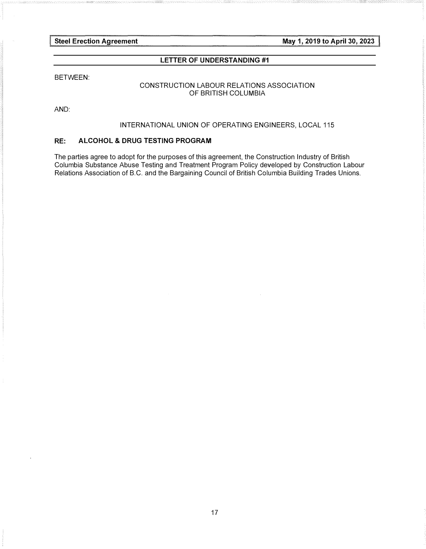May 1, 2019 to April 30, 2023

#### LETTER OF UNDERSTANDING #1

#### BETWEEN:

#### CONSTRUCTION LABOUR RELATIONS ASSOCIATION OF BRITISH COLUMBIA

AND:

#### INTERNATIONAL UNION OF OPERATING ENGINEERS, LOCAL 115

#### RE: ALCOHOL & DRUG TESTING PROGRAM

The parties agree to adopt for the purposes of this agreement, the Construction Industry of British Columbia Substance Abuse Testing and Treatment Program Policy developed by Construction Labour Relations Association of B.C. and the Bargaining Council of British Columbia Building Trades Unions.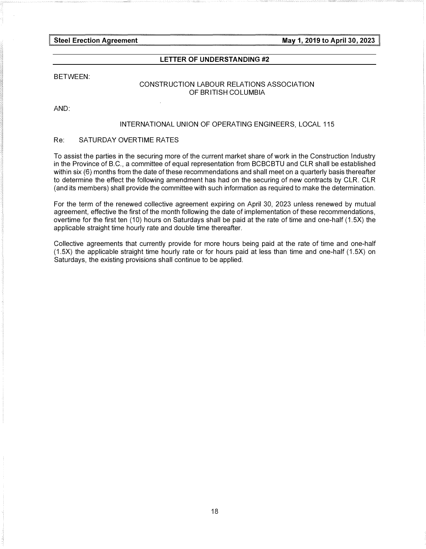May 1, 2019 to April 30, 2023

#### LETTER OF UNDERSTANDING #2

#### BETWEEN:

#### CONSTRUCTION LABOUR RELATIONS ASSOCIATION OF BRITISH COLUMBIA

#### AND:

#### INTERNATIONAL UNION OF OPERATING ENGINEERS, LOCAL 115

#### Re: SATURDAY OVERTIME RATES

To assist the parties in the securing more of the current market share of work in the Construction Industry in the Province of B.C., a committee of equal representation from BCBCBTU and CLR shall be established within six (6) months from the date of these recommendations and shall meet on a quarterly basis thereafter to determine the effect the following amendment has had on the securing of new contracts by CLR. CLR (and its members) shall provide the committee with such information as required to make the determination.

For the term of the renewed collective agreement expiring on April 30, 2023 unless renewed by mutual agreement, effective the first of the month following the date of implementation of these recommendations, overtime for the first ten (10) hours on Saturdays shall be paid at the rate of time and one-half (1.5X) the applicable straight time hourly rate and double time thereafter.

Collective agreements that currently provide for more hours being paid at the rate of time and one-half (1.5X) the applicable straight time hourly rate or for hours paid at less than time and one-half (1.5X) on Saturdays, the existing provisions shall continue to be applied.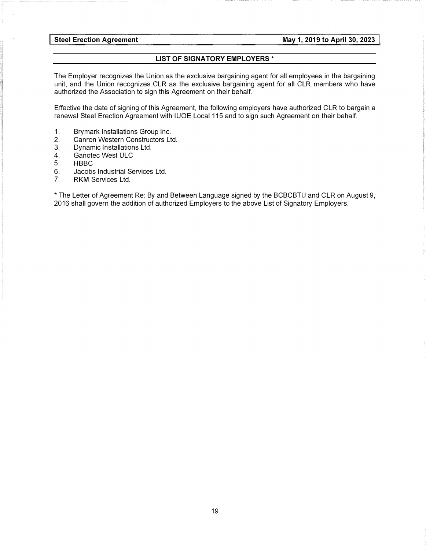#### LIST OF SIGNATORY EMPLOYERS \*

The Employer recognizes the Union as the exclusive bargaining agent for all employees in the bargaining unit, and the Union recognizes CLR as the exclusive bargaining agent for all CLR members who have authorized the Association to sign this Agreement on their behalf.

Effective the date of signing of this Agreement, the following employers have authorized CLR to bargain a renewal Steel Erection Agreement with IUOE Local 115 and to sign such Agreement on their behalf.

- 1. Brymark Installations Group Inc.
- 2. Canron Western Constructors Ltd.
- 3. Dynamic Installations Ltd.
- 4. Ganotec West ULC
- 5. HBBC<br>6. Jacobs
- 6. Jacobs Industrial Services Ltd.<br>7. RKM Services Ltd.
- RKM Services Ltd.

\*The Letter of Agreement Re: By and Between Language signed by the BCBCBTU and CLR on August 9, 2016 shall govern the addition of authorized Employers to the above List of Signatory Employers.